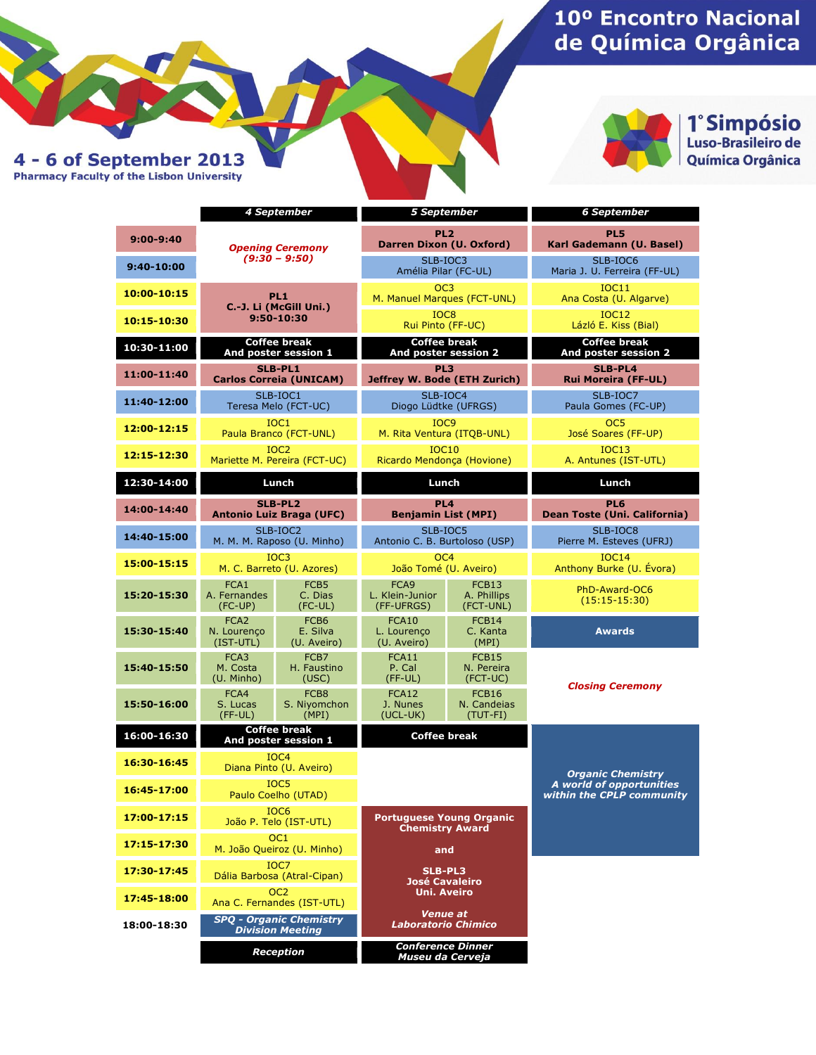# 10° Encontro Nacional de Química Orgânica



1° Simpósio<br>Luso-Brasileiro de<br>Química Orgânica

4 - 6 of September 2013<br>Pharmacy Faculty of the Lisbon University

|               |                                                           | 4 September                                 | <b>5 September</b>                                                                                                                                            |                                    | <b>6 September</b>                                    |
|---------------|-----------------------------------------------------------|---------------------------------------------|---------------------------------------------------------------------------------------------------------------------------------------------------------------|------------------------------------|-------------------------------------------------------|
| $9:00 - 9:40$ | <b>Opening Ceremony</b><br>$(9:30 - 9:50)$                |                                             | PL <sub>2</sub><br>Darren Dixon (U. Oxford)                                                                                                                   |                                    | PL5<br>Karl Gademann (U. Basel)                       |
| 9:40-10:00    |                                                           |                                             | SLB-IOC3<br>Amélia Pilar (FC-UL)                                                                                                                              |                                    | SLB-IOC6<br>Maria J. U. Ferreira (FF-UL)              |
| 10:00-10:15   | PL <sub>1</sub><br>C.-J. Li (McGill Uni.)<br>9:50-10:30   |                                             | OC <sub>3</sub><br>M. Manuel Marques (FCT-UNL)                                                                                                                |                                    | <b>IOC11</b><br>Ana Costa (U. Algarve)                |
| 10:15-10:30   |                                                           |                                             | IOC <sub>8</sub><br>Rui Pinto (FF-UC)                                                                                                                         |                                    | <b>IOC12</b><br>Lázló E. Kiss (Bial)                  |
| 10:30-11:00   | <b>Coffee break</b><br>And poster session 1               |                                             | <b>Coffee break</b><br>And poster session 2                                                                                                                   |                                    | <b>Coffee break</b><br>And poster session 2           |
| 11:00-11:40   | <b>SLB-PL1</b><br><b>Carlos Correia (UNICAM)</b>          |                                             | PL3<br>Jeffrey W. Bode (ETH Zurich)                                                                                                                           |                                    | SLB-PL4<br><b>Rui Moreira (FF-UL)</b>                 |
| 11:40-12:00   | SLB-IOC1<br>Teresa Melo (FCT-UC)                          |                                             | SLB-IOC4<br>Diogo Lüdtke (UFRGS)                                                                                                                              |                                    | SLB-IOC7<br>Paula Gomes (FC-UP)                       |
| 12:00-12:15   | IOC1<br>Paula Branco (FCT-UNL)                            |                                             | IOC <sub>9</sub><br>M. Rita Ventura (ITQB-UNL)                                                                                                                |                                    | OC <sub>5</sub><br>José Soares (FF-UP)                |
| 12:15-12:30   | IOC <sub>2</sub><br>Mariette M. Pereira (FCT-UC)          |                                             | <b>IOC10</b><br>Ricardo Mendonça (Hovione)                                                                                                                    |                                    | IOC13<br>A. Antunes (IST-UTL)                         |
| 12:30-14:00   | Lunch                                                     |                                             | Lunch                                                                                                                                                         |                                    | Lunch                                                 |
| 14:00-14:40   | <b>SLB-PL2</b><br><b>Antonio Luiz Braga (UFC)</b>         |                                             | PL <sub>4</sub><br><b>Benjamin List (MPI)</b>                                                                                                                 |                                    | PL6<br>Dean Toste (Uni. California)                   |
| 14:40-15:00   | $SLB-IOC2$<br>M. M. M. Raposo (U. Minho)                  |                                             | SLB-IOC5<br>Antonio C. B. Burtoloso (USP)                                                                                                                     |                                    | SLB-IOC8<br>Pierre M. Esteves (UFRJ)                  |
| 15:00-15:15   | IOC <sub>3</sub><br>M. C. Barreto (U. Azores)             |                                             | OC <sub>4</sub><br>João Tomé (U. Aveiro)                                                                                                                      |                                    | IOC14<br>Anthony Burke (U. Évora)                     |
| 15:20-15:30   | FCA1<br>A. Fernandes<br>$(FC-UP)$                         | FCB <sub>5</sub><br>C. Dias<br>$(FC-UL)$    | FCA9<br>L. Klein-Junior<br>(FF-UFRGS)                                                                                                                         | FCB13<br>A. Phillips<br>(FCT-UNL)  | PhD-Award-OC6<br>$(15:15-15:30)$                      |
| 15:30-15:40   | FCA <sub>2</sub><br>N. Lourenco<br>$(IST-UTL)$            | FCB <sub>6</sub><br>E. Silva<br>(U. Aveiro) | FCA10<br>L. Lourenço<br>(U. Aveiro)                                                                                                                           | FCB14<br>C. Kanta<br>(MPI)         | <b>Awards</b>                                         |
| 15:40-15:50   | FCA3<br>M. Costa<br>(U. Minho)                            | FCB7<br>H. Faustino<br>(USC)                | FCA11<br>P. Cal<br>$(FF-UL)$                                                                                                                                  | FCB15<br>N. Pereira<br>(FCT-UC)    |                                                       |
| 15:50-16:00   | FCA4<br>S. Lucas<br>$(FF-UL)$                             | FCB8<br>S. Niyomchon<br>(MPI)               | FCA12<br>J. Nunes<br>$(UCL-UK)$                                                                                                                               | FCB16<br>N. Candeias<br>$(TUT-FI)$ | <b>Closing Ceremony</b>                               |
| 16:00-16:30   | Coffee break<br>And poster session 1                      |                                             | <b>Coffee break</b>                                                                                                                                           |                                    |                                                       |
| 16:30-16:45   | IOC4<br>Diana Pinto (U. Aveiro)                           |                                             |                                                                                                                                                               |                                    | <b>Organic Chemistry</b>                              |
| 16:45-17:00   | IOC <sub>5</sub><br>Paulo Coelho (UTAD)                   |                                             |                                                                                                                                                               |                                    | A world of opportunities<br>within the CPLP community |
| 17:00-17:15   | IOC <sub>6</sub><br>João P. Telo (IST-UTL)                |                                             | <b>Portuguese Young Organic</b><br><b>Chemistry Award</b><br>and<br><b>SLB-PL3</b><br><b>José Cavaleiro</b><br>Uni. Aveiro<br>Venue at<br>Laboratorio Chimico |                                    |                                                       |
| 17:15-17:30   | OC <sub>1</sub><br>M. João Queiroz (U. Minho)             |                                             |                                                                                                                                                               |                                    |                                                       |
| 17:30-17:45   | IOC7<br>Dália Barbosa (Atral-Cipan)                       |                                             |                                                                                                                                                               |                                    |                                                       |
| 17:45-18:00   | OC <sub>2</sub><br>Ana C. Fernandes (IST-UTL)             |                                             |                                                                                                                                                               |                                    |                                                       |
| 18:00-18:30   | <b>SPQ - Organic Chemistry</b><br><b>Division Meeting</b> |                                             |                                                                                                                                                               |                                    |                                                       |
|               | <b>Reception</b>                                          |                                             | <b>Conference Dinner</b><br>Museu da Cerveja                                                                                                                  |                                    |                                                       |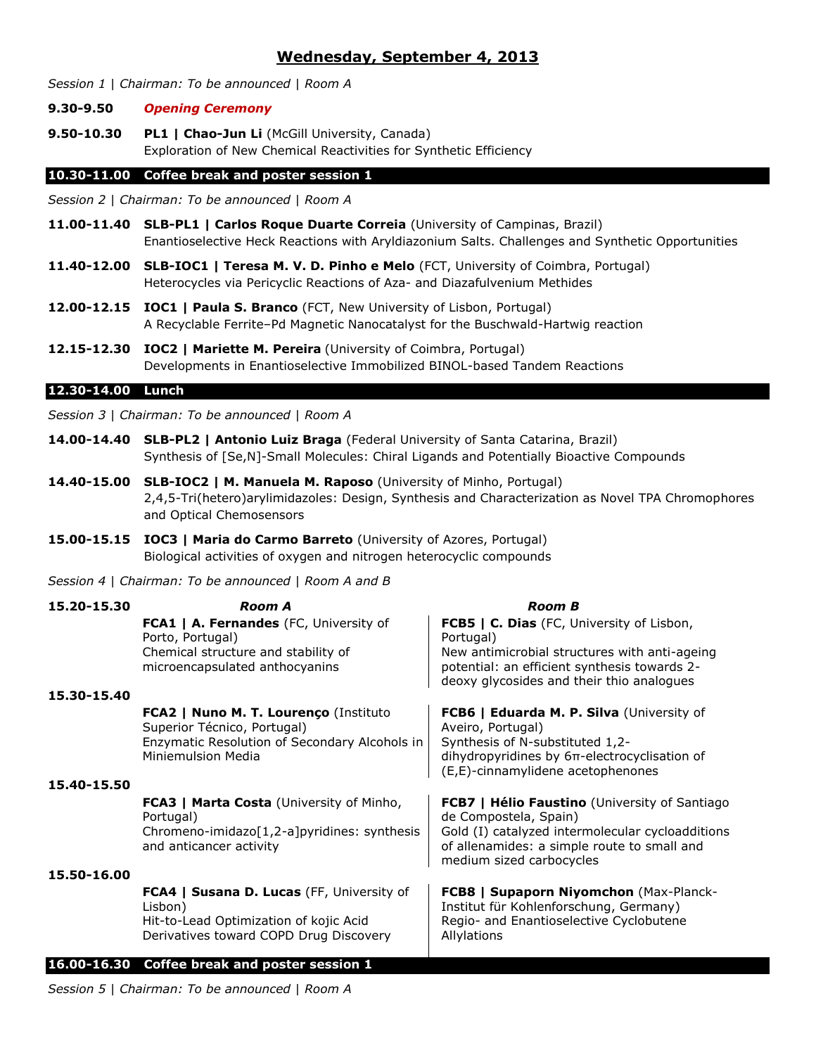# **Wednesday, September 4, 2013**

*Session 1* | *Chairman: To be announced* | *Room A*

#### **9.30-9.50** *Opening Ceremony*

**9.50-10.30 PL1 | Chao-Jun Li** (McGill University, Canada) Exploration of New Chemical Reactivities for Synthetic Efficiency

## **10.30-11.00 Coffee break and poster session 1**

*Session 2* | *Chairman: To be announced* | *Room A*

- **11.00-11.40 SLB-PL1 | Carlos Roque Duarte Correia** (University of Campinas, Brazil) Enantioselective Heck Reactions with Aryldiazonium Salts. Challenges and Synthetic Opportunities
- **11.40-12.00 SLB-IOC1 | Teresa M. V. D. Pinho e Melo** (FCT, University of Coimbra, Portugal) Heterocycles via Pericyclic Reactions of Aza- and Diazafulvenium Methides
- **12.00-12.15 IOC1 | Paula S. Branco** (FCT, New University of Lisbon, Portugal) A Recyclable Ferrite–Pd Magnetic Nanocatalyst for the Buschwald-Hartwig reaction
- **12.15-12.30 IOC2 | Mariette M. Pereira** (University of Coimbra, Portugal) Developments in Enantioselective Immobilized BINOL-based Tandem Reactions

#### **12.30-14.00 Lunch**

*Session 3* | *Chairman: To be announced* | *Room A*

- **14.00-14.40 SLB-PL2 | Antonio Luiz Braga** (Federal University of Santa Catarina, Brazil) Synthesis of [Se,N]-Small Molecules: Chiral Ligands and Potentially Bioactive Compounds
- **14.40-15.00 SLB-IOC2 | M. Manuela M. Raposo** (University of Minho, Portugal) 2,4,5-Tri(hetero)arylimidazoles: Design, Synthesis and Characterization as Novel TPA Chromophores and Optical Chemosensors
- **15.00-15.15 IOC3 | Maria do Carmo Barreto** (University of Azores, Portugal) Biological activities of oxygen and nitrogen heterocyclic compounds

*Session 4* | *Chairman: To be announced* | *Room A and B*

| 15.20-15.30 | <b>Room A</b>                                                                                                                               | <b>Room B</b>                                                                                                                                                                                                |
|-------------|---------------------------------------------------------------------------------------------------------------------------------------------|--------------------------------------------------------------------------------------------------------------------------------------------------------------------------------------------------------------|
|             | FCA1   A. Fernandes (FC, University of<br>Porto, Portugal)                                                                                  | FCB5   C. Dias (FC, University of Lisbon,<br>Portugal)                                                                                                                                                       |
|             | Chemical structure and stability of<br>microencapsulated anthocyanins                                                                       | New antimicrobial structures with anti-ageing<br>potential: an efficient synthesis towards 2-<br>deoxy glycosides and their thio analogues                                                                   |
| 15.30-15.40 |                                                                                                                                             |                                                                                                                                                                                                              |
|             | FCA2   Nuno M. T. Lourenço (Instituto<br>Superior Técnico, Portugal)<br>Enzymatic Resolution of Secondary Alcohols in<br>Miniemulsion Media | FCB6   Eduarda M. P. Silva (University of<br>Aveiro, Portugal)<br>Synthesis of N-substituted 1,2-<br>dihydropyridines by 6π-electrocyclisation of<br>(E,E)-cinnamylidene acetophenones                       |
| 15.40-15.50 |                                                                                                                                             |                                                                                                                                                                                                              |
|             | <b>FCA3   Marta Costa</b> (University of Minho,<br>Portugal)<br>Chromeno-imidazo $[1,2-a]$ pyridines: synthesis<br>and anticancer activity  | <b>FCB7</b>   Hélio Faustino (University of Santiago<br>de Compostela, Spain)<br>Gold (I) catalyzed intermolecular cycloadditions<br>of allenamides: a simple route to small and<br>medium sized carbocycles |
| 15.50-16.00 |                                                                                                                                             |                                                                                                                                                                                                              |
|             | FCA4   Susana D. Lucas (FF, University of<br>Lisbon)<br>Hit-to-Lead Optimization of kojic Acid<br>Derivatives toward COPD Drug Discovery    | FCB8   Supaporn Niyomchon (Max-Planck-<br>Institut für Kohlenforschung, Germany)<br>Regio- and Enantioselective Cyclobutene<br>Allylations                                                                   |
|             | 16.00-16.30 Coffee break and poster session 1                                                                                               |                                                                                                                                                                                                              |

*Session 5* | *Chairman: To be announced* | *Room A*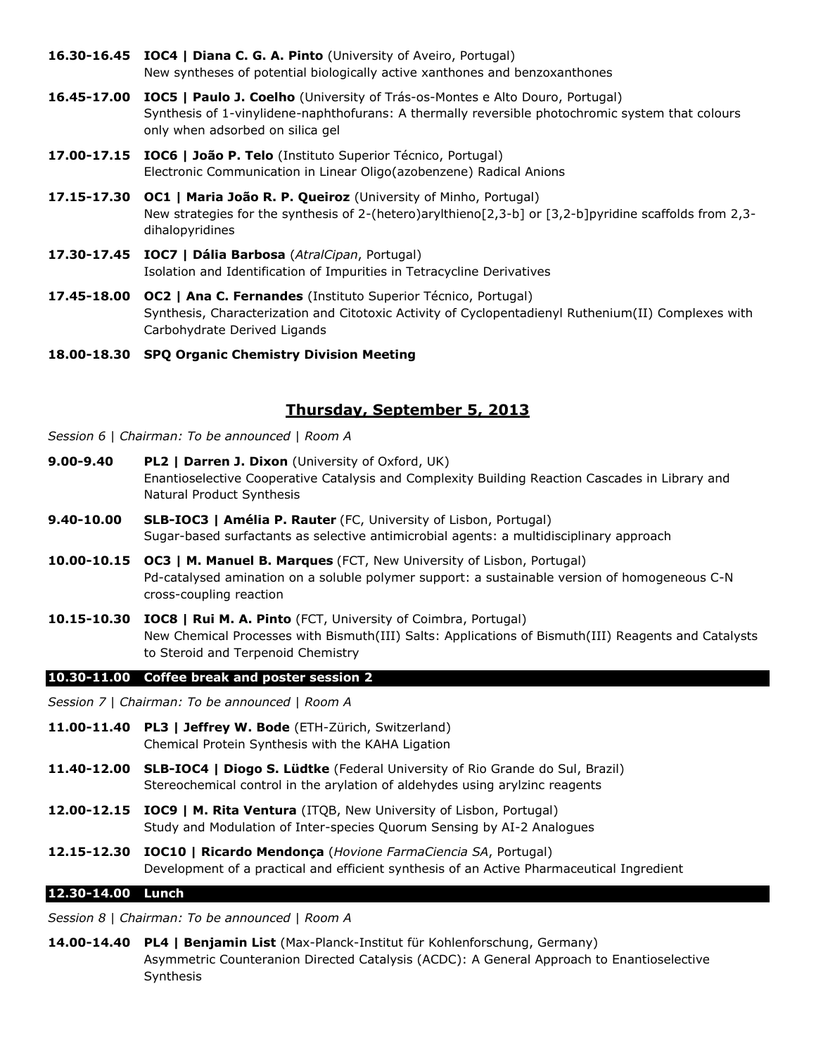- **16.30-16.45 IOC4 | Diana C. G. A. Pinto** (University of Aveiro, Portugal) New syntheses of potential biologically active xanthones and benzoxanthones
- **16.45-17.00 IOC5 | Paulo J. Coelho** (University of Trás-os-Montes e Alto Douro, Portugal) Synthesis of 1-vinylidene-naphthofurans: A thermally reversible photochromic system that colours only when adsorbed on silica gel
- **17.00-17.15 IOC6 | João P. Telo** (Instituto Superior Técnico, Portugal) Electronic Communication in Linear Oligo(azobenzene) Radical Anions
- **17.15-17.30 OC1 | Maria João R. P. Queiroz** (University of Minho, Portugal) New strategies for the synthesis of 2-(hetero)arylthieno[2,3-b] or [3,2-b]pyridine scaffolds from 2,3dihalopyridines
- **17.30-17.45 IOC7 | Dália Barbosa** (*AtralCipan*, Portugal) Isolation and Identification of Impurities in Tetracycline Derivatives
- **17.45-18.00 OC2 | Ana C. Fernandes** (Instituto Superior Técnico, Portugal) Synthesis, Characterization and Citotoxic Activity of Cyclopentadienyl Ruthenium(II) Complexes with Carbohydrate Derived Ligands
- **18.00-18.30 SPQ Organic Chemistry Division Meeting**

# **Thursday, September 5, 2013**

- *Session 6* | *Chairman: To be announced* | *Room A*
- **9.00-9.40 PL2 | Darren J. Dixon** (University of Oxford, UK) Enantioselective Cooperative Catalysis and Complexity Building Reaction Cascades in Library and Natural Product Synthesis
- **9.40-10.00 SLB-IOC3 | Amélia P. Rauter** (FC, University of Lisbon, Portugal) Sugar-based surfactants as selective antimicrobial agents: a multidisciplinary approach
- **10.00-10.15 OC3 | M. Manuel B. Marques** (FCT, New University of Lisbon, Portugal) Pd-catalysed amination on a soluble polymer support: a sustainable version of homogeneous C-N cross-coupling reaction
- **10.15-10.30 IOC8 | Rui M. A. Pinto** (FCT, University of Coimbra, Portugal) New Chemical Processes with Bismuth(III) Salts: Applications of Bismuth(III) Reagents and Catalysts to Steroid and Terpenoid Chemistry

# **10.30-11.00 Coffee break and poster session 2**

*Session 7* | *Chairman: To be announced* | *Room A*

- **11.00-11.40 PL3 | Jeffrey W. Bode** (ETH-Zürich, Switzerland) Chemical Protein Synthesis with the KAHA Ligation
- **11.40-12.00 SLB-IOC4 | Diogo S. Lüdtke** (Federal University of Rio Grande do Sul, Brazil) Stereochemical control in the arylation of aldehydes using arylzinc reagents
- **12.00-12.15 IOC9 | M. Rita Ventura** (ITQB, New University of Lisbon, Portugal) Study and Modulation of Inter-species Quorum Sensing by AI-2 Analogues
- **12.15-12.30 IOC10 | Ricardo Mendonça** (*Hovione FarmaCiencia SA*, Portugal) Development of a practical and efficient synthesis of an Active Pharmaceutical Ingredient

# **12.30-14.00 Lunch**

*Session 8* | *Chairman: To be announced* | *Room A*

**14.00-14.40 PL4 | Benjamin List** (Max-Planck-Institut für Kohlenforschung, Germany) Asymmetric Counteranion Directed Catalysis (ACDC): A General Approach to Enantioselective Synthesis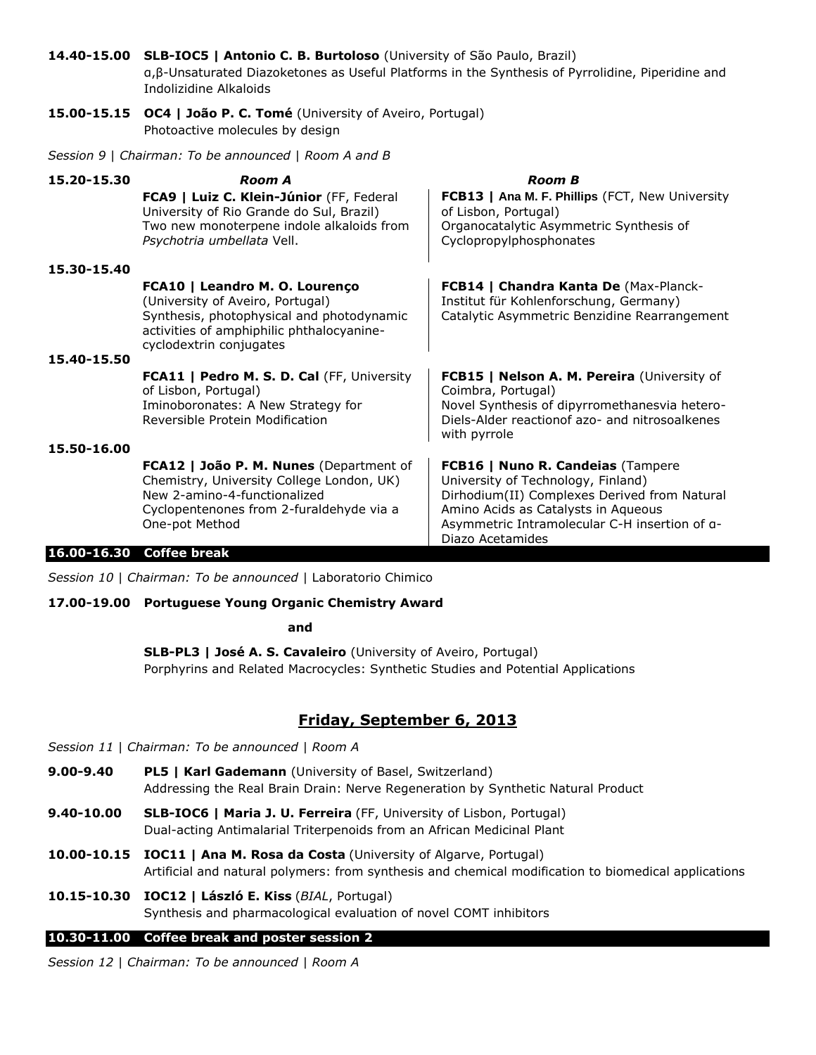**14.40-15.00 SLB-IOC5 | Antonio C. B. Burtoloso** (University of São Paulo, Brazil) α,β-Unsaturated Diazoketones as Useful Platforms in the Synthesis of Pyrrolidine, Piperidine and Indolizidine Alkaloids

**15.00-15.15 OC4 | João P. C. Tomé** (University of Aveiro, Portugal) Photoactive molecules by design

*Session 9* | *Chairman: To be announced* | *Room A and B*

| 15.20-15.30 | Room A<br>FCA9   Luiz C. Klein-Júnior (FF, Federal                                                                                                                                      | <b>Room B</b><br>FCB13   Ana M. F. Phillips (FCT, New University                                                                                                                                                                    |
|-------------|-----------------------------------------------------------------------------------------------------------------------------------------------------------------------------------------|-------------------------------------------------------------------------------------------------------------------------------------------------------------------------------------------------------------------------------------|
|             | University of Rio Grande do Sul, Brazil)<br>Two new monoterpene indole alkaloids from<br>Psychotria umbellata Vell.                                                                     | of Lisbon, Portugal)<br>Organocatalytic Asymmetric Synthesis of<br>Cyclopropylphosphonates                                                                                                                                          |
| 15.30-15.40 |                                                                                                                                                                                         |                                                                                                                                                                                                                                     |
|             | FCA10   Leandro M. O. Lourenço<br>(University of Aveiro, Portugal)<br>Synthesis, photophysical and photodynamic<br>activities of amphiphilic phthalocyanine-<br>cyclodextrin conjugates | <b>FCB14   Chandra Kanta De (Max-Planck-</b><br>Institut für Kohlenforschung, Germany)<br>Catalytic Asymmetric Benzidine Rearrangement                                                                                              |
| 15.40-15.50 |                                                                                                                                                                                         |                                                                                                                                                                                                                                     |
|             | FCA11   Pedro M. S. D. Cal (FF, University<br>of Lisbon, Portugal)<br>Iminoboronates: A New Strategy for<br>Reversible Protein Modification                                             | FCB15   Nelson A. M. Pereira (University of<br>Coimbra, Portugal)<br>Novel Synthesis of dipyrromethanesvia hetero-<br>Diels-Alder reactionof azo- and nitrosoalkenes<br>with pyrrole                                                |
| 15,50-16.00 |                                                                                                                                                                                         |                                                                                                                                                                                                                                     |
|             | FCA12   João P. M. Nunes (Department of<br>Chemistry, University College London, UK)<br>New 2-amino-4-functionalized<br>Cyclopentenones from 2-furaldehyde via a<br>One-pot Method      | FCB16   Nuno R. Candeias (Tampere<br>University of Technology, Finland)<br>Dirhodium(II) Complexes Derived from Natural<br>Amino Acids as Catalysts in Aqueous<br>Asymmetric Intramolecular C-H insertion of a-<br>Diazo Acetamides |
|             | 00-1630 Coffee break                                                                                                                                                                    |                                                                                                                                                                                                                                     |

# **16.00-16.30 Coffee break**

*Session 10* | *Chairman: To be announced* | Laboratorio Chimico

## **17.00-19.00 Portuguese Young Organic Chemistry Award**

**and**

**SLB-PL3 | José A. S. Cavaleiro** (University of Aveiro, Portugal) Porphyrins and Related Macrocycles: Synthetic Studies and Potential Applications

# **Friday, September 6, 2013**

*Session 11* | *Chairman: To be announced* | *Room A*

- **9.00-9.40 PL5 | Karl Gademann** (University of Basel, Switzerland) Addressing the Real Brain Drain: Nerve Regeneration by Synthetic Natural Product
- **9.40-10.00 SLB-IOC6 | Maria J. U. Ferreira** (FF, University of Lisbon, Portugal) Dual-acting Antimalarial Triterpenoids from an African Medicinal Plant
- **10.00-10.15 IOC11 | Ana M. Rosa da Costa** (University of Algarve, Portugal) Artificial and natural polymers: from synthesis and chemical modification to biomedical applications
- **10.15-10.30 IOC12 | László E. Kiss** (*BIAL*, Portugal) Synthesis and pharmacological evaluation of novel COMT inhibitors

## **10.30-11.00 Coffee break and poster session 2**

*Session 12* | *Chairman: To be announced* | *Room A*